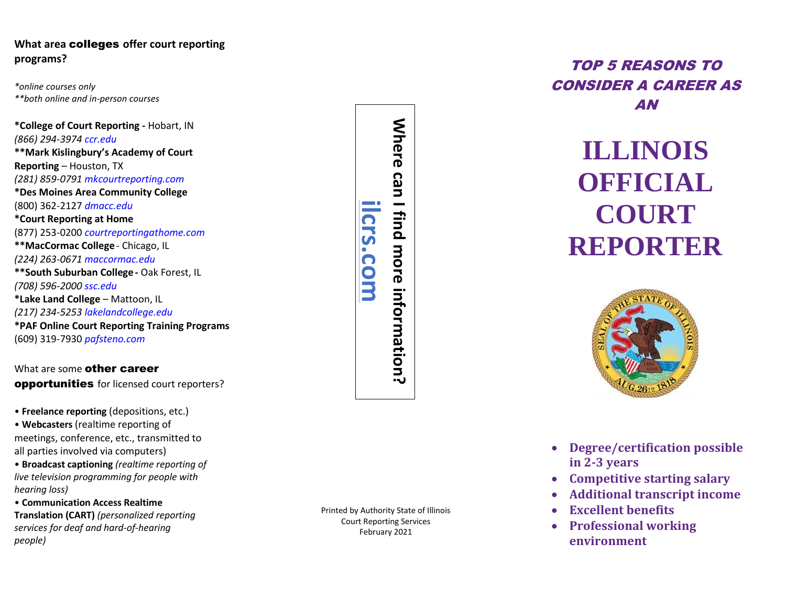# **What area** colleges **offer court reporting programs?**

*\*online courses only \*\*both online and in -person courses*

**\*College of Court Reporting -** Hobart, IN *(866) 294 -3974 ccr.edu* **\*\*Mark Kislingbury's Academy of Court Reporting** – Houston, TX *(281) 859 -0791 mkcourtreporting.com* **\*Des Moines Area Community College** (800) 362 -2127 *dmacc.edu* **\*Court Reporting at Home** (877) 253 -0200 *courtreportingathome.com* **\*\* MacCormac College** - Chicago, IL *(224) 263 -0671 maccormac.edu* **\*\*South Suburban College -** Oak Forest, IL *(708) 596 -2000 ssc.edu* **\* Lake Land College**  – Mattoon, IL *(217) 234 -5253 lakelandcollege.edu* **\*PAF Online Court Reporting Training Programs** (609) 319 -7930 *pafsteno.com*

What are some other career opportunities for licensed court reporters?

• **Freelance reporting** (depositions, etc.)

• **Webcasters** (realtime reporting of meetings, conference, etc., transmitted to all parties involved via computers)

• **Broadcast captioning** *(realtime reporting of live television programming for people with hearing loss)*

• **Communication Access Realtime Translation (CART)** *(personalized reporting services for deaf and hard -of-hearing people)*

Where can **Where can I find more information? ilcrs.com**find more information? **CLS** COM

Printed by Authority State of Illinois Court Reporting Services February 2021

# TOP 5 REASONS TO CONSIDER A CAREER AS AN

# **ILLINOIS OFFICIAL COURT REPORTER**



- **Degree/certification possible in 2 -3 years**
- **Competitive starting salary**
- **Additional transcript income**
- **Excellent benefits**
- **Professional working environment**